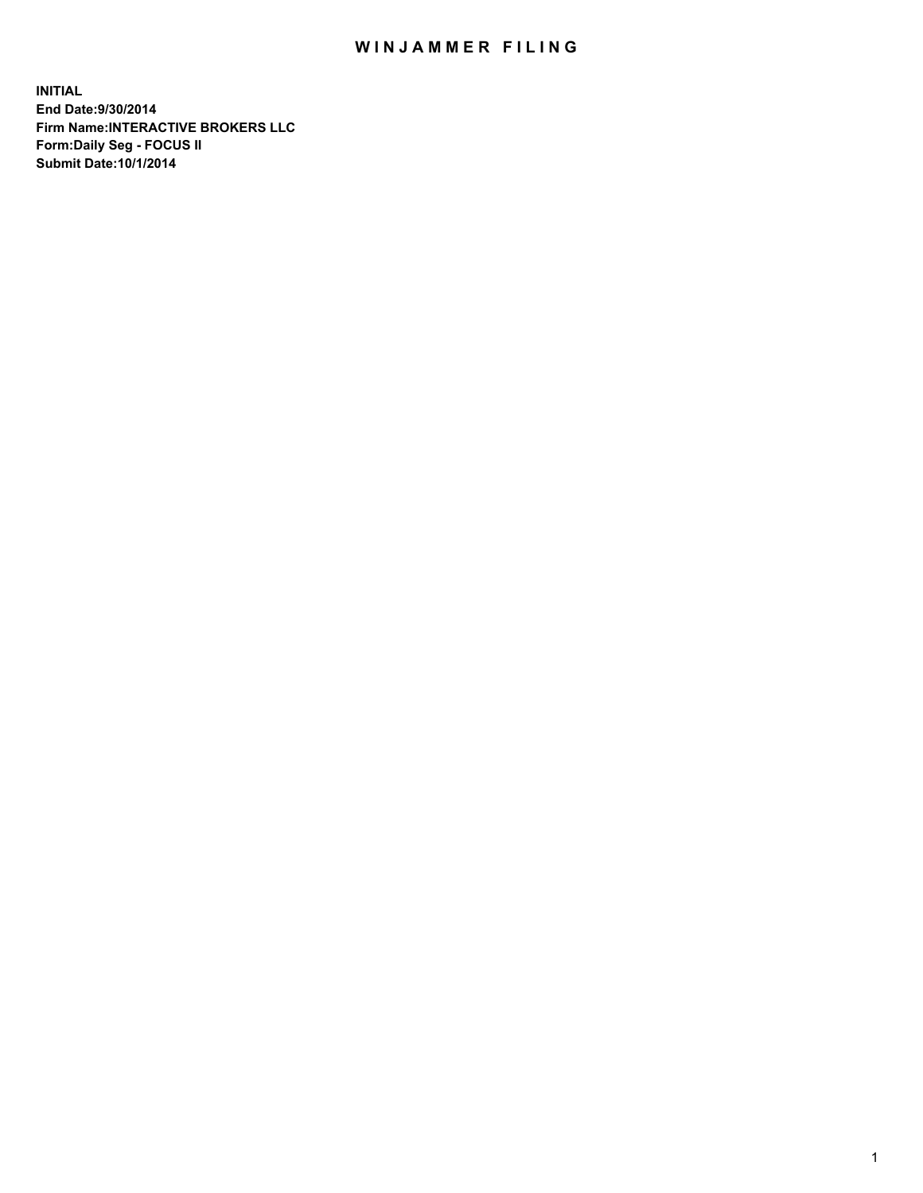## WIN JAMMER FILING

**INITIAL End Date:9/30/2014 Firm Name:INTERACTIVE BROKERS LLC Form:Daily Seg - FOCUS II Submit Date:10/1/2014**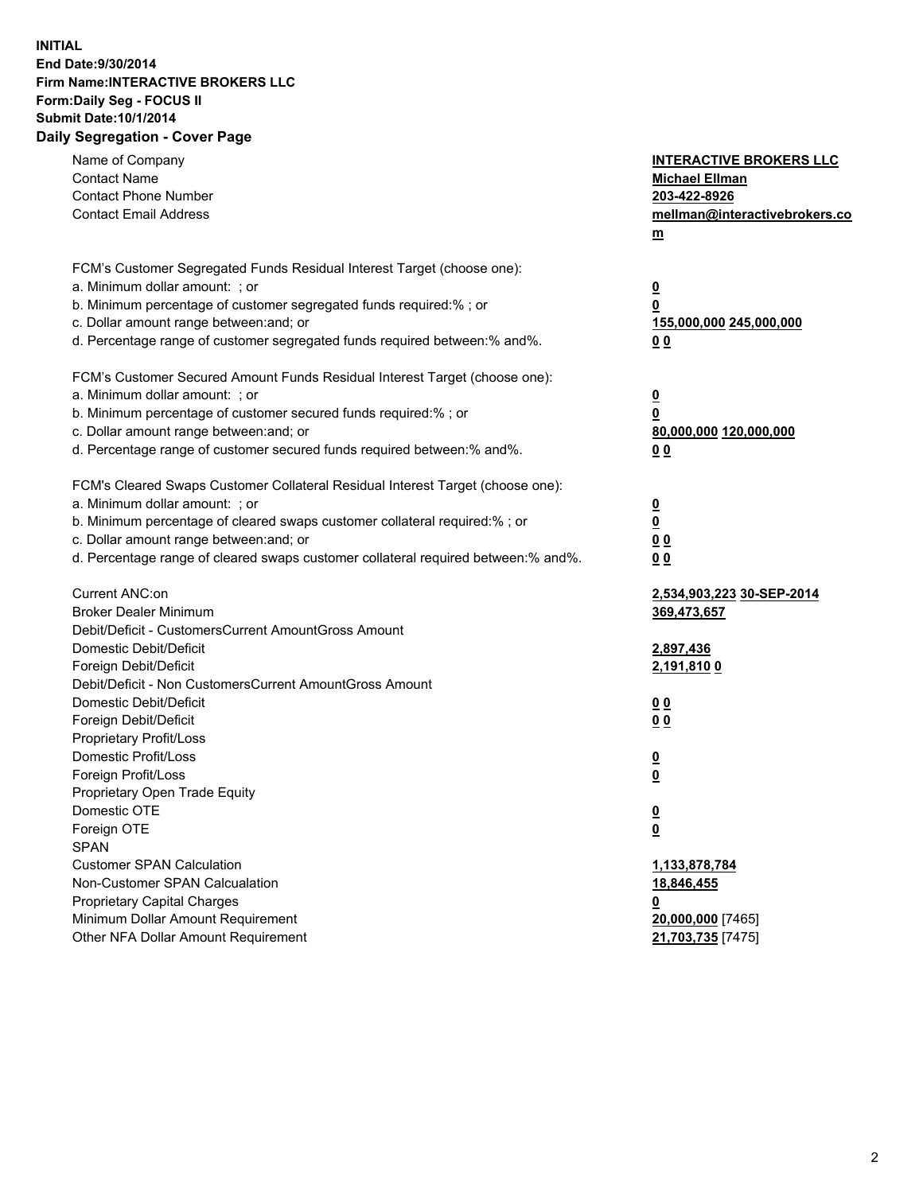## **INITIAL End Date:9/30/2014 Firm Name:INTERACTIVE BROKERS LLC Form:Daily Seg - FOCUS II Submit Date:10/1/2014 Daily Segregation - Cover Page**

| Name of Company                                                                                              | <b>INTERACTIVE BROKERS LLC</b> |
|--------------------------------------------------------------------------------------------------------------|--------------------------------|
| <b>Contact Name</b><br><b>Contact Phone Number</b>                                                           | <b>Michael Ellman</b>          |
|                                                                                                              | 203-422-8926                   |
| <b>Contact Email Address</b>                                                                                 | mellman@interactivebrokers.co  |
|                                                                                                              | $\underline{\mathbf{m}}$       |
| FCM's Customer Segregated Funds Residual Interest Target (choose one):                                       |                                |
| a. Minimum dollar amount: ; or                                                                               | $\overline{\mathbf{0}}$        |
| b. Minimum percentage of customer segregated funds required:% ; or                                           | 0                              |
| c. Dollar amount range between: and; or                                                                      | 155,000,000 245,000,000        |
| d. Percentage range of customer segregated funds required between:% and%.                                    | 00                             |
|                                                                                                              |                                |
| FCM's Customer Secured Amount Funds Residual Interest Target (choose one):<br>a. Minimum dollar amount: ; or |                                |
|                                                                                                              | $\overline{\mathbf{0}}$        |
| b. Minimum percentage of customer secured funds required:% ; or                                              | 0                              |
| c. Dollar amount range between: and; or                                                                      | 80,000,000 120,000,000         |
| d. Percentage range of customer secured funds required between:% and%.                                       | 00                             |
| FCM's Cleared Swaps Customer Collateral Residual Interest Target (choose one):                               |                                |
| a. Minimum dollar amount: ; or                                                                               | $\overline{\mathbf{0}}$        |
| b. Minimum percentage of cleared swaps customer collateral required:% ; or                                   | $\underline{\mathbf{0}}$       |
| c. Dollar amount range between: and; or                                                                      | 0 <sub>0</sub>                 |
| d. Percentage range of cleared swaps customer collateral required between:% and%.                            | 0 <sub>0</sub>                 |
|                                                                                                              |                                |
| Current ANC:on                                                                                               | 2,534,903,223 30-SEP-2014      |
| <b>Broker Dealer Minimum</b>                                                                                 | 369,473,657                    |
| Debit/Deficit - CustomersCurrent AmountGross Amount                                                          |                                |
| Domestic Debit/Deficit                                                                                       | 2,897,436                      |
| Foreign Debit/Deficit                                                                                        | <u>2,191,810 0</u>             |
| Debit/Deficit - Non CustomersCurrent AmountGross Amount                                                      |                                |
| Domestic Debit/Deficit                                                                                       | 0 <sub>0</sub>                 |
| Foreign Debit/Deficit                                                                                        | 0 <sub>0</sub>                 |
| Proprietary Profit/Loss                                                                                      |                                |
| Domestic Profit/Loss                                                                                         | $\overline{\mathbf{0}}$        |
| Foreign Profit/Loss                                                                                          | $\underline{\mathbf{0}}$       |
| Proprietary Open Trade Equity                                                                                |                                |
| Domestic OTE                                                                                                 | <u>0</u>                       |
| Foreign OTE                                                                                                  | <u>0</u>                       |
| <b>SPAN</b>                                                                                                  |                                |
| <b>Customer SPAN Calculation</b>                                                                             | 1,133,878,784                  |
| Non-Customer SPAN Calcualation                                                                               | 18,846,455                     |
| <b>Proprietary Capital Charges</b>                                                                           | <u>0</u>                       |
| Minimum Dollar Amount Requirement                                                                            | 20,000,000 [7465]              |
| Other NFA Dollar Amount Requirement                                                                          | 21,703,735 [7475]              |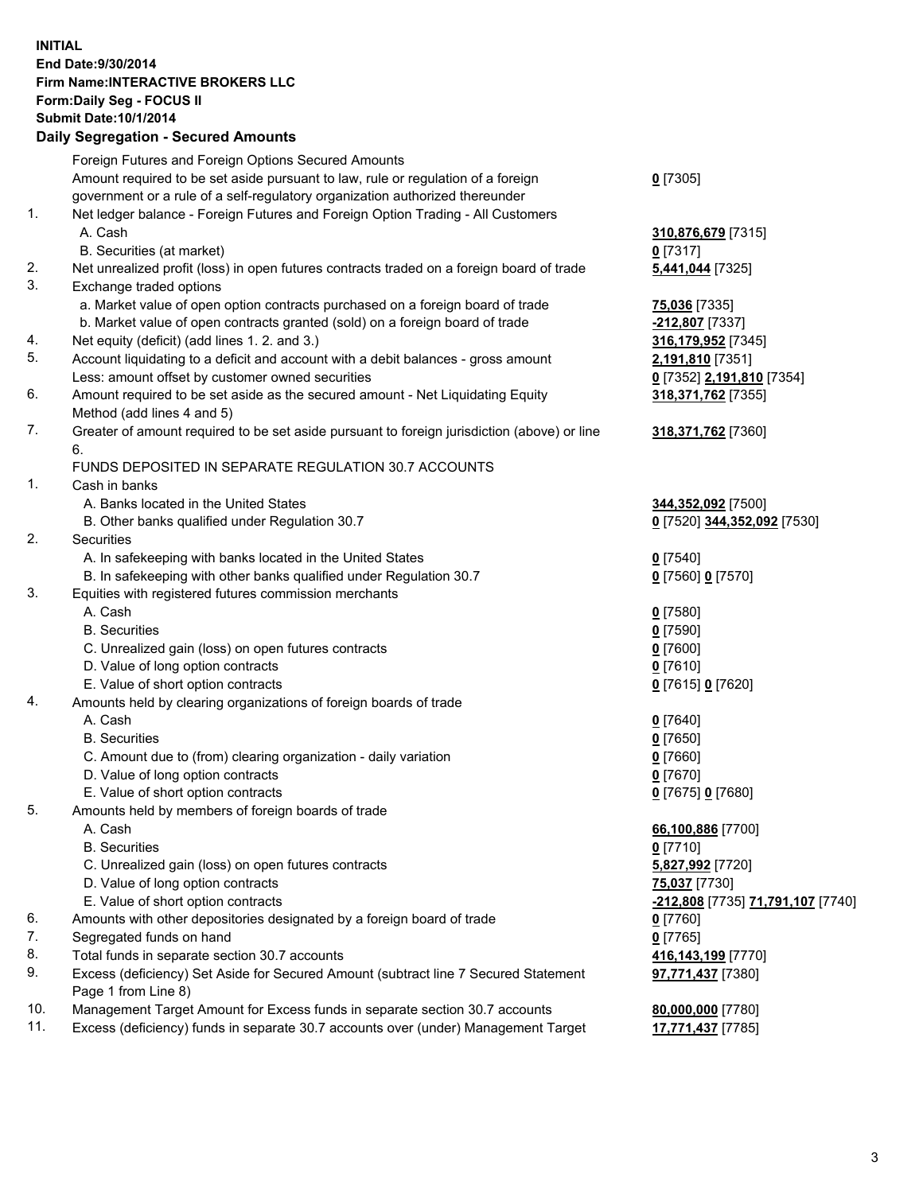## **INITIAL End Date:9/30/2014 Firm Name:INTERACTIVE BROKERS LLC Form:Daily Seg - FOCUS II Submit Date:10/1/2014 Daily Segregation - Secured Amounts**

|     | Foreign Futures and Foreign Options Secured Amounts                                                |                                                 |
|-----|----------------------------------------------------------------------------------------------------|-------------------------------------------------|
|     | Amount required to be set aside pursuant to law, rule or regulation of a foreign                   | $0$ [7305]                                      |
|     | government or a rule of a self-regulatory organization authorized thereunder                       |                                                 |
| 1.  | Net ledger balance - Foreign Futures and Foreign Option Trading - All Customers                    |                                                 |
|     | A. Cash                                                                                            | 310,876,679 [7315]                              |
|     | B. Securities (at market)                                                                          | $0$ [7317]                                      |
| 2.  | Net unrealized profit (loss) in open futures contracts traded on a foreign board of trade          | 5,441,044 [7325]                                |
| 3.  | Exchange traded options                                                                            |                                                 |
|     | a. Market value of open option contracts purchased on a foreign board of trade                     | 75,036 [7335]                                   |
|     | b. Market value of open contracts granted (sold) on a foreign board of trade                       | -212,807 [7337]                                 |
| 4.  | Net equity (deficit) (add lines 1.2. and 3.)                                                       | 316,179,952 [7345]                              |
| 5.  | Account liquidating to a deficit and account with a debit balances - gross amount                  | 2,191,810 [7351]                                |
|     | Less: amount offset by customer owned securities                                                   | 0 [7352] 2,191,810 [7354]                       |
| 6.  | Amount required to be set aside as the secured amount - Net Liquidating Equity                     | 318,371,762 [7355]                              |
|     | Method (add lines 4 and 5)                                                                         |                                                 |
| 7.  | Greater of amount required to be set aside pursuant to foreign jurisdiction (above) or line        | 318, 371, 762 [7360]                            |
|     | 6.                                                                                                 |                                                 |
|     | FUNDS DEPOSITED IN SEPARATE REGULATION 30.7 ACCOUNTS                                               |                                                 |
| 1.  | Cash in banks                                                                                      |                                                 |
|     | A. Banks located in the United States                                                              | 344,352,092 [7500]                              |
|     | B. Other banks qualified under Regulation 30.7                                                     | 0 [7520] 344,352,092 [7530]                     |
| 2.  | Securities                                                                                         |                                                 |
|     | A. In safekeeping with banks located in the United States                                          | $Q$ [7540]                                      |
|     | B. In safekeeping with other banks qualified under Regulation 30.7                                 | 0 [7560] 0 [7570]                               |
| 3.  | Equities with registered futures commission merchants                                              |                                                 |
|     | A. Cash                                                                                            | $0$ [7580]                                      |
|     | <b>B.</b> Securities                                                                               | $0$ [7590]                                      |
|     | C. Unrealized gain (loss) on open futures contracts                                                | $0$ [7600]                                      |
|     | D. Value of long option contracts                                                                  | $0$ [7610]                                      |
|     | E. Value of short option contracts                                                                 | 0 [7615] 0 [7620]                               |
| 4.  | Amounts held by clearing organizations of foreign boards of trade                                  |                                                 |
|     | A. Cash                                                                                            | $0$ [7640]                                      |
|     | <b>B.</b> Securities                                                                               | $0$ [7650]                                      |
|     | C. Amount due to (from) clearing organization - daily variation                                    | $0$ [7660]                                      |
|     | D. Value of long option contracts                                                                  | $0$ [7670]                                      |
|     | E. Value of short option contracts                                                                 | 0 [7675] 0 [7680]                               |
| 5.  | Amounts held by members of foreign boards of trade                                                 |                                                 |
|     | A. Cash                                                                                            | 66,100,886 [7700]                               |
|     | <b>B.</b> Securities                                                                               | $0$ [7710]                                      |
|     | C. Unrealized gain (loss) on open futures contracts                                                | 5,827,992 [7720]                                |
|     | D. Value of long option contracts                                                                  | 75,037 [7730]                                   |
|     | E. Value of short option contracts                                                                 | <u>-212,808</u> [7735] <u>71,791,107</u> [7740] |
| 6.  | Amounts with other depositories designated by a foreign board of trade                             | $0$ [7760]                                      |
| 7.  | Segregated funds on hand                                                                           | $0$ [7765]                                      |
| 8.  | Total funds in separate section 30.7 accounts                                                      | 416,143,199 [7770]                              |
| 9.  | Excess (deficiency) Set Aside for Secured Amount (subtract line 7 Secured Statement                |                                                 |
|     |                                                                                                    | 97,771,437 [7380]                               |
| 10. | Page 1 from Line 8)<br>Management Target Amount for Excess funds in separate section 30.7 accounts |                                                 |
| 11. |                                                                                                    | 80,000,000 [7780]                               |
|     | Excess (deficiency) funds in separate 30.7 accounts over (under) Management Target                 | 17,771,437 [7785]                               |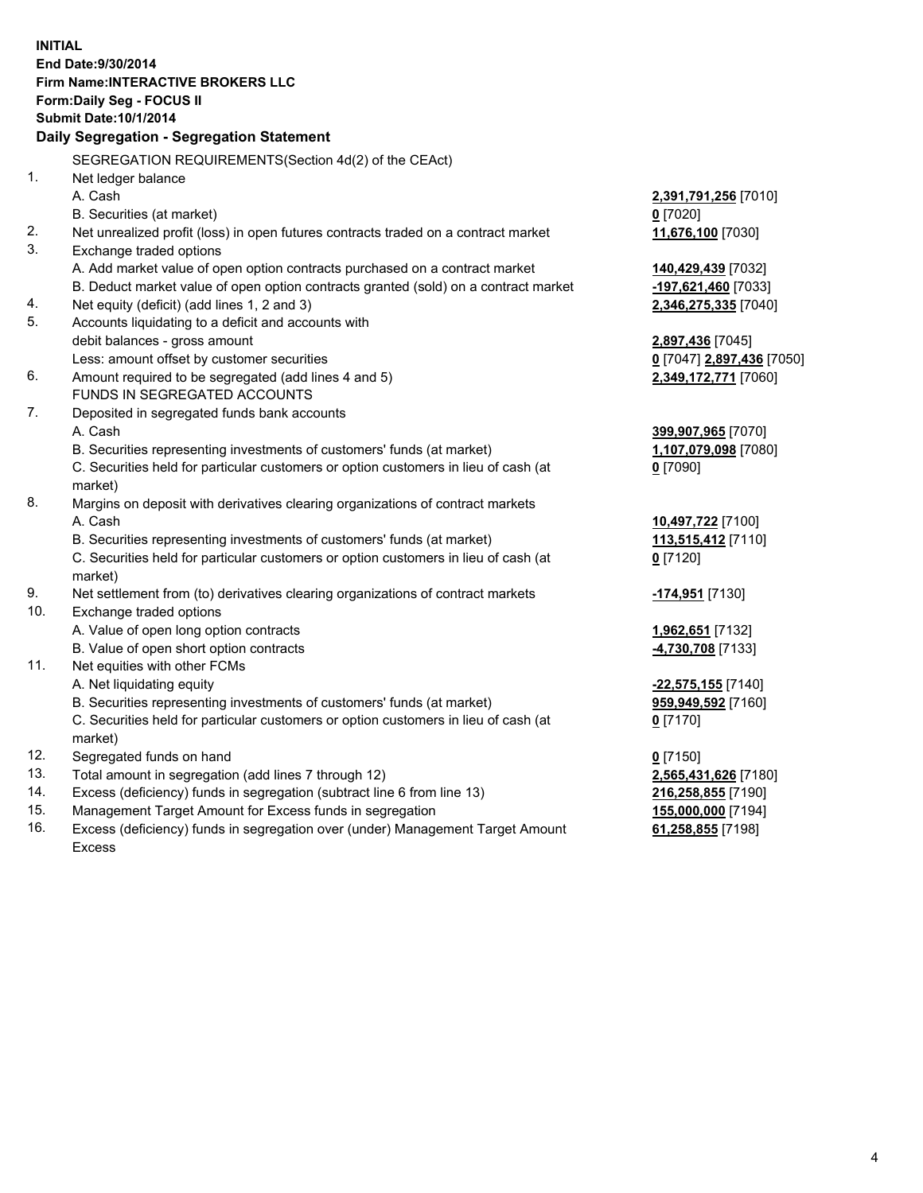**INITIAL End Date:9/30/2014 Firm Name:INTERACTIVE BROKERS LLC Form:Daily Seg - FOCUS II Submit Date:10/1/2014 Daily Segregation - Segregation Statement** SEGREGATION REQUIREMENTS(Section 4d(2) of the CEAct) 1. Net ledger balance A. Cash **2,391,791,256** [7010] B. Securities (at market) **0** [7020] 2. Net unrealized profit (loss) in open futures contracts traded on a contract market **11,676,100** [7030] 3. Exchange traded options A. Add market value of open option contracts purchased on a contract market **140,429,439** [7032] B. Deduct market value of open option contracts granted (sold) on a contract market **-197,621,460** [7033] 4. Net equity (deficit) (add lines 1, 2 and 3) **2,346,275,335** [7040] 5. Accounts liquidating to a deficit and accounts with debit balances - gross amount **2,897,436** [7045] Less: amount offset by customer securities **0** [7047] **2,897,436** [7050] 6. Amount required to be segregated (add lines 4 and 5) **2,349,172,771** [7060] FUNDS IN SEGREGATED ACCOUNTS 7. Deposited in segregated funds bank accounts A. Cash **399,907,965** [7070] B. Securities representing investments of customers' funds (at market) **1,107,079,098** [7080] C. Securities held for particular customers or option customers in lieu of cash (at market) **0** [7090] 8. Margins on deposit with derivatives clearing organizations of contract markets A. Cash **10,497,722** [7100] B. Securities representing investments of customers' funds (at market) **113,515,412** [7110] C. Securities held for particular customers or option customers in lieu of cash (at market) **0** [7120] 9. Net settlement from (to) derivatives clearing organizations of contract markets **-174,951** [7130] 10. Exchange traded options A. Value of open long option contracts **1,962,651** [7132] B. Value of open short option contracts **-4,730,708** [7133] 11. Net equities with other FCMs A. Net liquidating equity **-22,575,155** [7140] B. Securities representing investments of customers' funds (at market) **959,949,592** [7160] C. Securities held for particular customers or option customers in lieu of cash (at market) **0** [7170] 12. Segregated funds on hand **0** [7150] 13. Total amount in segregation (add lines 7 through 12) **2,565,431,626** [7180] 14. Excess (deficiency) funds in segregation (subtract line 6 from line 13) **216,258,855** [7190] 15. Management Target Amount for Excess funds in segregation **155,000,000** [7194]

16. Excess (deficiency) funds in segregation over (under) Management Target Amount Excess

**61,258,855** [7198]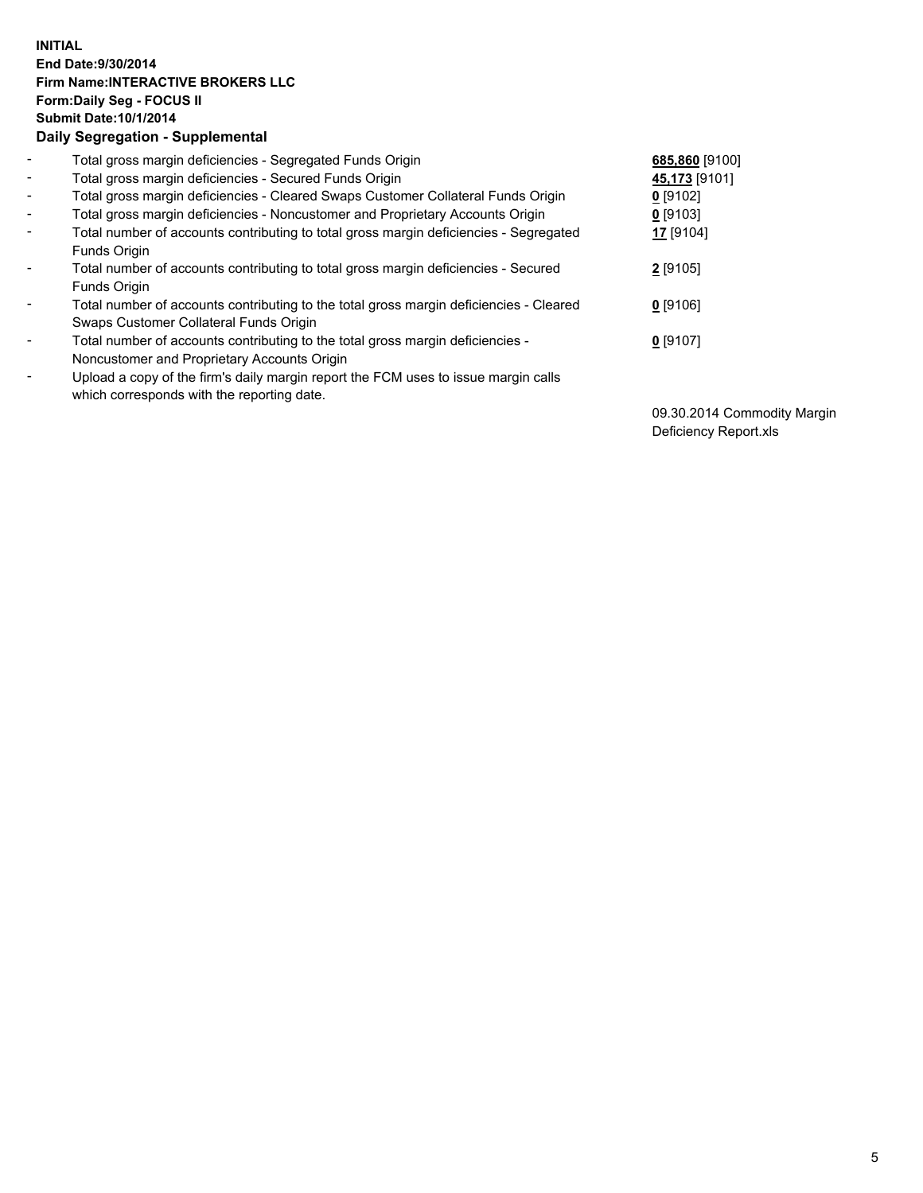## **INITIAL End Date:9/30/2014 Firm Name:INTERACTIVE BROKERS LLC Form:Daily Seg - FOCUS II Submit Date:10/1/2014 Daily Segregation - Supplemental**

| $\blacksquare$           | Total gross margin deficiencies - Segregated Funds Origin                              | 685,860 [9100] |
|--------------------------|----------------------------------------------------------------------------------------|----------------|
| $\sim$                   | Total gross margin deficiencies - Secured Funds Origin                                 | 45,173 [9101]  |
| $\blacksquare$           | Total gross margin deficiencies - Cleared Swaps Customer Collateral Funds Origin       | $0$ [9102]     |
| $\blacksquare$           | Total gross margin deficiencies - Noncustomer and Proprietary Accounts Origin          | $0$ [9103]     |
| $\blacksquare$           | Total number of accounts contributing to total gross margin deficiencies - Segregated  | 17 [9104]      |
|                          | Funds Origin                                                                           |                |
| $\blacksquare$           | Total number of accounts contributing to total gross margin deficiencies - Secured     | 2 [9105]       |
|                          | <b>Funds Origin</b>                                                                    |                |
| $\blacksquare$           | Total number of accounts contributing to the total gross margin deficiencies - Cleared | $0$ [9106]     |
|                          | Swaps Customer Collateral Funds Origin                                                 |                |
| $\overline{\phantom{a}}$ | Total number of accounts contributing to the total gross margin deficiencies -         | $0$ [9107]     |
|                          | Noncustomer and Proprietary Accounts Origin                                            |                |
| $\overline{\phantom{a}}$ | Upload a copy of the firm's daily margin report the FCM uses to issue margin calls     |                |
|                          | which corresponds with the reporting date.                                             |                |

09.30.2014 Commodity Margin Deficiency Report.xls